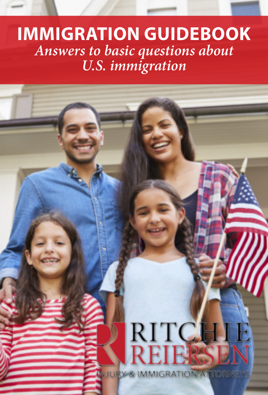### **IMMIGRATION GUIDEBOOK Answers to basic questions about U.S. immigration**

# RITCHIE

**JURY & IMMIGRATION ATTORNEY**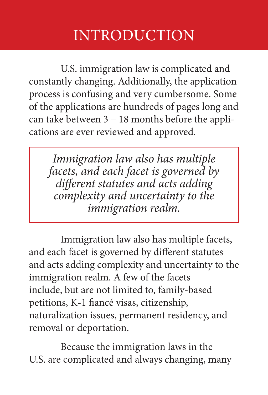#### INTRODUCTION

 U.S. immigration law is complicated and constantly changing. Additionally, the application process is confusing and very cumbersome. Some of the applications are hundreds of pages long and can take between 3 – 18 months before the applications are ever reviewed and approved.

Immigration law also has multiple facets, and each facet is governed by different statutes and acts adding complexity and uncertainty to the immigration realm.

 Immigration law also has multiple facets, and each facet is governed by different statutes and acts adding complexity and uncertainty to the immigration realm. A few of the facets include, but are not limited to, family-based petitions, K-1 fiancé visas, citizenship, naturalization issues, permanent residency, and removal or deportation.

 Because the immigration laws in the U.S. are complicated and always changing, many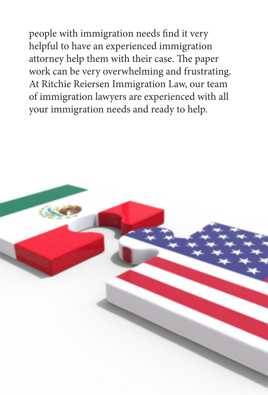people with immigration needs find it very helpful to have an experienced immigration attorney help them with their case. The paper work can be very overwhelming and frustrating. At Ritchie Reiersen Immigration Law, our team of immigration lawyers are experienced with all your immigration needs and ready to help.

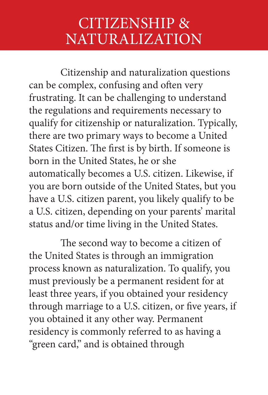#### CITIZENSHIP & NATURALIZATION

 Citizenship and naturalization questions can be complex, confusing and often very frustrating. It can be challenging to understand the regulations and requirements necessary to qualify for citizenship or naturalization. Typically, there are two primary ways to become a United States Citizen. The first is by birth. If someone is born in the United States, he or she automatically becomes a U.S. citizen. Likewise, if you are born outside of the United States, but you have a U.S. citizen parent, you likely qualify to be a U.S. citizen, depending on your parents' marital status and/or time living in the United States.

 The second way to become a citizen of the United States is through an immigration process known as naturalization. To qualify, you must previously be a permanent resident for at least three years, if you obtained your residency through marriage to a U.S. citizen, or five years, if you obtained it any other way. Permanent residency is commonly referred to as having a "green card," and is obtained through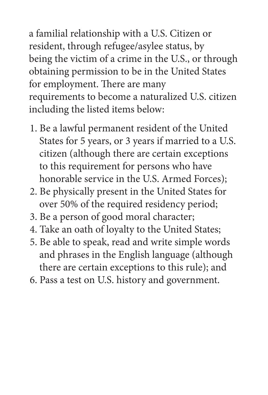a familial relationship with a U.S. Citizen or resident, through refugee/asylee status, by being the victim of a crime in the U.S., or through obtaining permission to be in the United States for employment. There are many requirements to become a naturalized U.S. citizen including the listed items below:

- 1. Be a lawful permanent resident of the United States for 5 years, or 3 years if married to a U.S. citizen (although there are certain exceptions to this requirement for persons who have honorable service in the U.S. Armed Forces);
- 2. Be physically present in the United States for over 50% of the required residency period;
- 3. Be a person of good moral character;
- 4. Take an oath of loyalty to the United States;
- 5. Be able to speak, read and write simple words and phrases in the English language (although there are certain exceptions to this rule); and
- 6. Pass a test on U.S. history and government.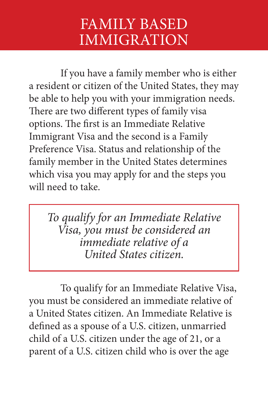#### FAMILY BASED IMMIGRATION

 If you have a family member who is either a resident or citizen of the United States, they may be able to help you with your immigration needs. There are two different types of family visa options. The first is an Immediate Relative Immigrant Visa and the second is a Family Preference Visa. Status and relationship of the family member in the United States determines which visa you may apply for and the steps you will need to take.

To qualify for an Immediate Relative Visa, you must be considered an immediate relative of a United States citizen.

 To qualify for an Immediate Relative Visa, you must be considered an immediate relative of a United States citizen. An Immediate Relative is defined as a spouse of a U.S. citizen, unmarried child of a U.S. citizen under the age of 21, or a parent of a U.S. citizen child who is over the age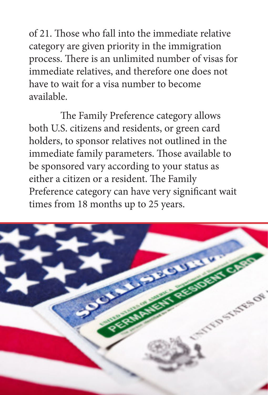of 21. Those who fall into the immediate relative category are given priority in the immigration process. There is an unlimited number of visas for immediate relatives, and therefore one does not have to wait for a visa number to become available.

 The Family Preference category allows both U.S. citizens and residents, or green card holders, to sponsor relatives not outlined in the immediate family parameters. Those available to be sponsored vary according to your status as either a citizen or a resident. The Family Preference category can have very significant wait times from 18 months up to 25 years.

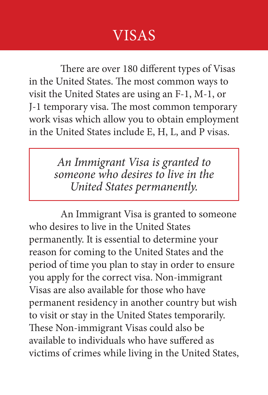#### VISAS

 There are over 180 different types of Visas in the United States. The most common ways to visit the United States are using an F-1, M-1, or J-1 temporary visa. The most common temporary work visas which allow you to obtain employment in the United States include E, H, L, and P visas.

> An Immigrant Visa is granted to someone who desires to live in the United States permanently.

 An Immigrant Visa is granted to someone who desires to live in the United States permanently. It is essential to determine your reason for coming to the United States and the period of time you plan to stay in order to ensure you apply for the correct visa. Non-immigrant Visas are also available for those who have permanent residency in another country but wish to visit or stay in the United States temporarily. These Non-immigrant Visas could also be available to individuals who have suffered as victims of crimes while living in the United States,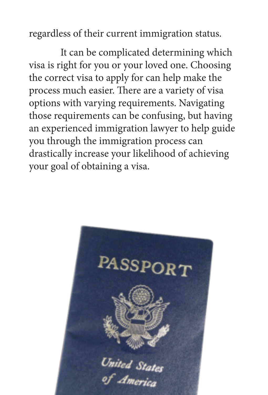regardless of their current immigration status.

 It can be complicated determining which visa is right for you or your loved one. Choosing the correct visa to apply for can help make the process much easier. There are a variety of visa options with varying requirements. Navigating those requirements can be confusing, but having an experienced immigration lawyer to help guide you through the immigration process can drastically increase your likelihood of achieving your goal of obtaining a visa.

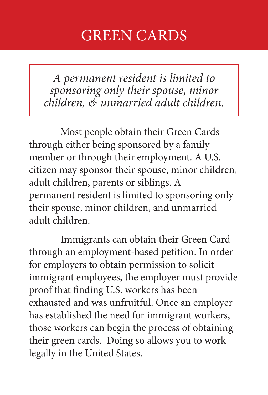#### GREEN CARDS

A permanent resident is limited to sponsoring only their spouse, minor children, & unmarried adult children.

 Most people obtain their Green Cards through either being sponsored by a family member or through their employment. A U.S. citizen may sponsor their spouse, minor children, adult children, parents or siblings. A permanent resident is limited to sponsoring only their spouse, minor children, and unmarried adult children.

 Immigrants can obtain their Green Card through an employment-based petition. In order for employers to obtain permission to solicit immigrant employees, the employer must provide proof that finding U.S. workers has been exhausted and was unfruitful. Once an employer has established the need for immigrant workers, those workers can begin the process of obtaining their green cards. Doing so allows you to work legally in the United States.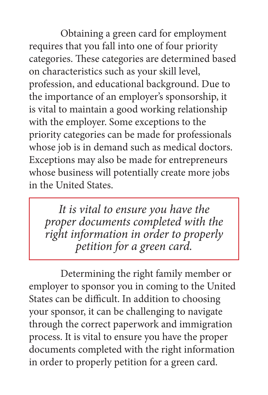Obtaining a green card for employment requires that you fall into one of four priority categories. These categories are determined based on characteristics such as your skill level, profession, and educational background. Due to the importance of an employer's sponsorship, it is vital to maintain a good working relationship with the employer. Some exceptions to the priority categories can be made for professionals whose job is in demand such as medical doctors. Exceptions may also be made for entrepreneurs whose business will potentially create more jobs in the United States.

It is vital to ensure you have the proper documents completed with the right information in order to properly petition for a green card.

 Determining the right family member or employer to sponsor you in coming to the United States can be difficult. In addition to choosing your sponsor, it can be challenging to navigate through the correct paperwork and immigration process. It is vital to ensure you have the proper documents completed with the right information in order to properly petition for a green card.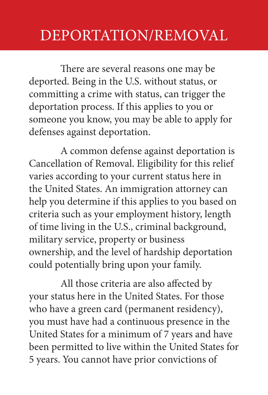#### DEPORTATION/REMOVAL

 There are several reasons one may be deported. Being in the U.S. without status, or committing a crime with status, can trigger the deportation process. If this applies to you or someone you know, you may be able to apply for defenses against deportation.

 A common defense against deportation is Cancellation of Removal. Eligibility for this relief varies according to your current status here in the United States. An immigration attorney can help you determine if this applies to you based on criteria such as your employment history, length of time living in the U.S., criminal background, military service, property or business ownership, and the level of hardship deportation could potentially bring upon your family.

 All those criteria are also affected by your status here in the United States. For those who have a green card (permanent residency), you must have had a continuous presence in the United States for a minimum of 7 years and have been permitted to live within the United States for 5 years. You cannot have prior convictions of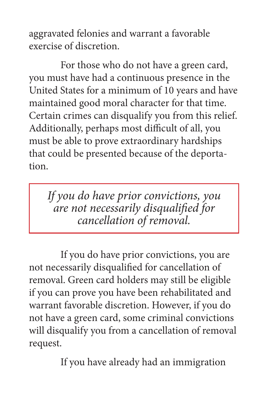aggravated felonies and warrant a favorable exercise of discretion.

 For those who do not have a green card, you must have had a continuous presence in the United States for a minimum of 10 years and have maintained good moral character for that time. Certain crimes can disqualify you from this relief. Additionally, perhaps most difficult of all, you must be able to prove extraordinary hardships that could be presented because of the deportation.

If you do have prior convictions, you are not necessarily disqualified for cancellation of removal.

 If you do have prior convictions, you are not necessarily disqualified for cancellation of removal. Green card holders may still be eligible if you can prove you have been rehabilitated and warrant favorable discretion. However, if you do not have a green card, some criminal convictions will disqualify you from a cancellation of removal request.

If you have already had an immigration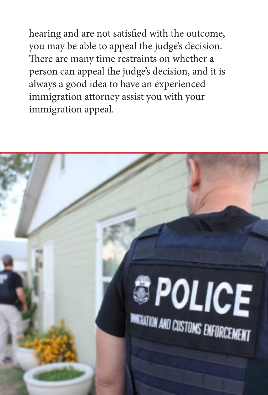hearing and are not satisfied with the outcome, you may be able to appeal the judge's decision. There are many time restraints on whether a person can appeal the judge's decision, and it is always a good idea to have an experienced immigration attorney assist you with your immigration appeal.

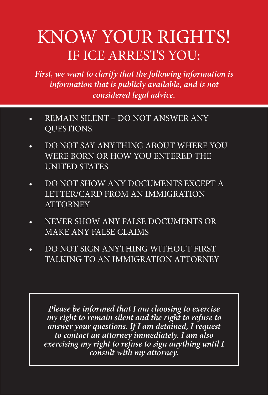# KNOW YOUR RIGHTS! IF ICE ARRESTS YOU:

**First, we want to clarify that the following information is information that is publicly available, and is not considered legal advice.**

- REMAIN SILENT DO NOT ANSWER ANY QUESTIONS.
- DO NOT SAY ANYTHING ABOUT WHERE YOU WERE BORN OR HOW YOU ENTERED THE UNITED STATES
- DO NOT SHOW ANY DOCUMENTS EXCEPT A LETTER/CARD FROM AN IMMIGRATION **ATTORNEY**
- • NEVER SHOW ANY FALSE DOCUMENTS OR MAKE ANY FALSE CLAIMS
- DO NOT SIGN ANYTHING WITHOUT FIRST TALKING TO AN IMMIGRATION ATTORNEY

**Please be informed that I am choosing to exercise my right to remain silent and the right to refuse to answer your questions. If I am detained, I request to contact an attorney immediately. I am also exercising my right to refuse to sign anything until I consult with my attorney.**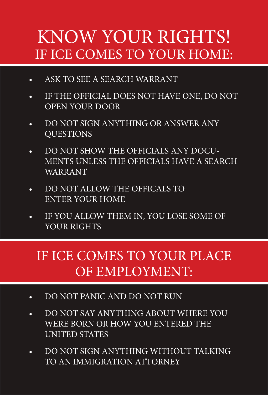# KNOW YOUR RIGHTS! IF ICE COMES TO YOUR HOME:

- ASK TO SEE A SEARCH WARRANT
- IF THE OFFICIAL DOES NOT HAVE ONE, DO NOT OPEN YOUR DOOR
- • DO NOT SIGN ANYTHING OR ANSWER ANY **OUESTIONS**
- DO NOT SHOW THE OFFICIALS ANY DOCU-MENTS UNLESS THE OFFICIALS HAVE A SEARCH WARRANT
- • DO NOT ALLOW THE OFFICALS TO ENTER YOUR HOME
- IF YOU ALLOW THEM IN, YOU LOSE SOME OF YOUR RIGHTS

#### IF ICE COMES TO YOUR PLACE OF EMPLOYMENT:

- DO NOT PANIC AND DO NOT RUN
- • DO NOT SAY ANYTHING ABOUT WHERE YOU WERE BORN OR HOW YOU ENTERED THE UNITED STATES
- • DO NOT SIGN ANYTHING WITHOUT TALKING TO AN IMMIGRATION ATTORNEY